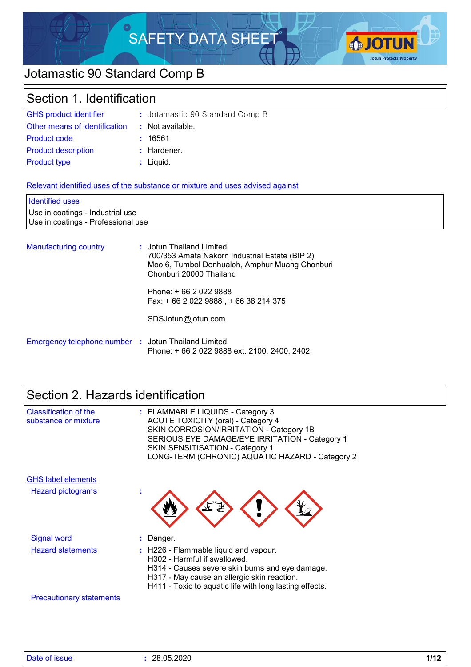

# Jotamastic 90 Standard Comp B

# Section 1. Identification

| <b>GHS</b> product identifier | : Jotamastic 90 Standard Comp B |
|-------------------------------|---------------------------------|
| Other means of identification | : Not available.                |
| <b>Product code</b>           | : 16561                         |
| <b>Product description</b>    | : Hardener.                     |
| <b>Product type</b>           | $:$ Liquid.                     |

#### Relevant identified uses of the substance or mixture and uses advised against

#### Identified uses

Use in coatings - Industrial use Use in coatings - Professional use

| <b>Manufacturing country</b>                        | : Jotun Thailand Limited<br>700/353 Amata Nakorn Industrial Estate (BIP 2)<br>Moo 6, Tumbol Donhualoh, Amphur Muang Chonburi<br>Chonburi 20000 Thailand |  |
|-----------------------------------------------------|---------------------------------------------------------------------------------------------------------------------------------------------------------|--|
|                                                     | Phone: + 66 2 022 9888<br>Fax: $+6620229888 + 6638214375$                                                                                               |  |
|                                                     | SDSJotun@jotun.com                                                                                                                                      |  |
| Emergency telephone number : Jotun Thailand Limited | Phone: + 66 2 022 9888 ext. 2100, 2400, 2402                                                                                                            |  |

### Section 2. Hazards identification

| Classification of the<br>substance or mixture | : FLAMMABLE LIQUIDS - Category 3<br><b>ACUTE TOXICITY (oral) - Category 4</b><br>SKIN CORROSION/IRRITATION - Category 1B<br>SERIOUS EYE DAMAGE/EYE IRRITATION - Category 1<br>SKIN SENSITISATION - Category 1<br>LONG-TERM (CHRONIC) AQUATIC HAZARD - Category 2 |
|-----------------------------------------------|------------------------------------------------------------------------------------------------------------------------------------------------------------------------------------------------------------------------------------------------------------------|
| <b>GHS label elements</b>                     |                                                                                                                                                                                                                                                                  |
| <b>Hazard pictograms</b>                      |                                                                                                                                                                                                                                                                  |
| <b>Signal word</b>                            | : Danger.                                                                                                                                                                                                                                                        |
| <b>Hazard statements</b>                      | $:$ H226 - Flammable liquid and vapour.<br>H302 - Harmful if swallowed.<br>H314 - Causes severe skin burns and eye damage.<br>H317 - May cause an allergic skin reaction.<br>H411 - Toxic to aquatic life with long lasting effects.                             |
| <b>Precautionary statements</b>               |                                                                                                                                                                                                                                                                  |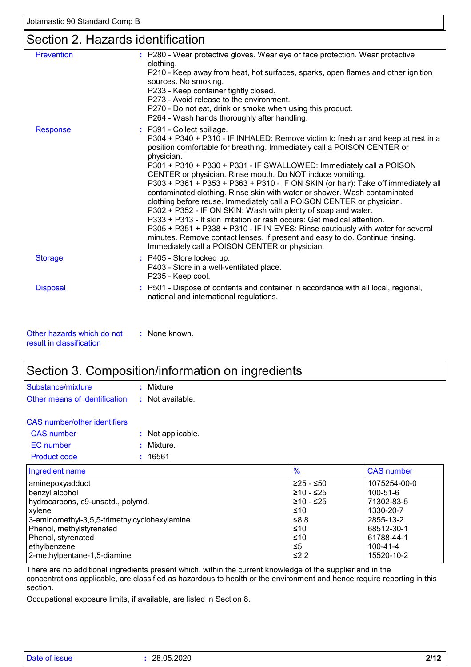### Section 2. Hazards identification

| : P280 - Wear protective gloves. Wear eye or face protection. Wear protective<br>clothing.<br>P210 - Keep away from heat, hot surfaces, sparks, open flames and other ignition<br>sources. No smoking.<br>P233 - Keep container tightly closed.<br>P273 - Avoid release to the environment.<br>P270 - Do not eat, drink or smoke when using this product.<br>P264 - Wash hands thoroughly after handling.                                                                                                                                                                                                                                                                                                                                                                                                                                                                                                                                                |
|----------------------------------------------------------------------------------------------------------------------------------------------------------------------------------------------------------------------------------------------------------------------------------------------------------------------------------------------------------------------------------------------------------------------------------------------------------------------------------------------------------------------------------------------------------------------------------------------------------------------------------------------------------------------------------------------------------------------------------------------------------------------------------------------------------------------------------------------------------------------------------------------------------------------------------------------------------|
| : P391 - Collect spillage.<br>P304 + P340 + P310 - IF INHALED: Remove victim to fresh air and keep at rest in a<br>position comfortable for breathing. Immediately call a POISON CENTER or<br>physician.<br>P301 + P310 + P330 + P331 - IF SWALLOWED: Immediately call a POISON<br>CENTER or physician. Rinse mouth. Do NOT induce vomiting.<br>P303 + P361 + P353 + P363 + P310 - IF ON SKIN (or hair): Take off immediately all<br>contaminated clothing. Rinse skin with water or shower. Wash contaminated<br>clothing before reuse. Immediately call a POISON CENTER or physician.<br>P302 + P352 - IF ON SKIN: Wash with plenty of soap and water.<br>P333 + P313 - If skin irritation or rash occurs: Get medical attention.<br>P305 + P351 + P338 + P310 - IF IN EYES: Rinse cautiously with water for several<br>minutes. Remove contact lenses, if present and easy to do. Continue rinsing.<br>Immediately call a POISON CENTER or physician. |
| : P405 - Store locked up.<br>P403 - Store in a well-ventilated place.<br>P235 - Keep cool.                                                                                                                                                                                                                                                                                                                                                                                                                                                                                                                                                                                                                                                                                                                                                                                                                                                               |
| : P501 - Dispose of contents and container in accordance with all local, regional,<br>national and international regulations.                                                                                                                                                                                                                                                                                                                                                                                                                                                                                                                                                                                                                                                                                                                                                                                                                            |
|                                                                                                                                                                                                                                                                                                                                                                                                                                                                                                                                                                                                                                                                                                                                                                                                                                                                                                                                                          |

| Other hazards which do not | : None known. |
|----------------------------|---------------|
| result in classification.  |               |

# Section 3. Composition/information on ingredients

| Substance/mixture             | : Mixture        |
|-------------------------------|------------------|
| Other means of identification | : Not available. |

| <b>CAS</b> number/other identifiers |                   |
|-------------------------------------|-------------------|
| CAS number                          | : Not applicable. |
| EC number                           | : Mixture.        |
| Product code                        | : 16561           |

| Ingredient name                              | $\%$        | <b>CAS number</b> |
|----------------------------------------------|-------------|-------------------|
| aminepoxyadduct                              | ≥25 - ≤50   | 1075254-00-0      |
| benzyl alcohol                               | l≥10 - ≤25  | $100 - 51 - 6$    |
| hydrocarbons, c9-unsatd., polymd.            | $≥10 - ≤25$ | 71302-83-5        |
| xylene                                       | ≤10         | 1330-20-7         |
| 3-aminomethyl-3,5,5-trimethylcyclohexylamine | 8.8≥        | 2855-13-2         |
| Phenol, methylstyrenated                     | ≤10         | 68512-30-1        |
| Phenol, styrenated                           | ≤10         | 61788-44-1        |
| ethylbenzene                                 | ≤5          | 100-41-4          |
| 2-methylpentane-1,5-diamine                  | $\leq 2.2$  | 15520-10-2        |

There are no additional ingredients present which, within the current knowledge of the supplier and in the concentrations applicable, are classified as hazardous to health or the environment and hence require reporting in this section.

Occupational exposure limits, if available, are listed in Section 8.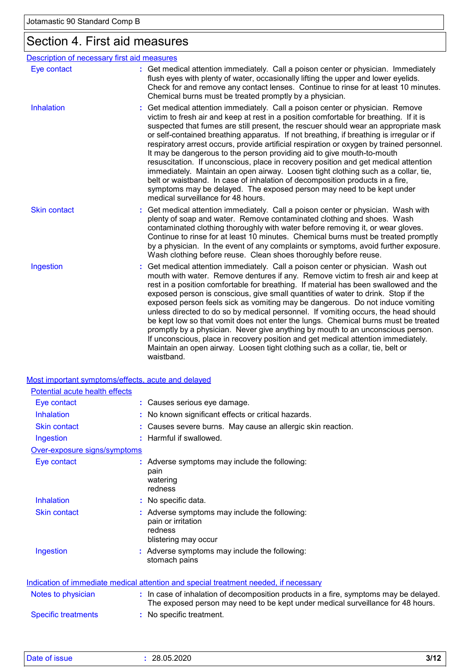# Section 4. First aid measures

| Description of necessary first aid measures |                                                                                                                                                                                                                                                                                                                                                                                                                                                                                                                                                                                                                                                                                                                                                                                                                                                                                                               |
|---------------------------------------------|---------------------------------------------------------------------------------------------------------------------------------------------------------------------------------------------------------------------------------------------------------------------------------------------------------------------------------------------------------------------------------------------------------------------------------------------------------------------------------------------------------------------------------------------------------------------------------------------------------------------------------------------------------------------------------------------------------------------------------------------------------------------------------------------------------------------------------------------------------------------------------------------------------------|
| Eye contact                                 | : Get medical attention immediately. Call a poison center or physician. Immediately<br>flush eyes with plenty of water, occasionally lifting the upper and lower eyelids.<br>Check for and remove any contact lenses. Continue to rinse for at least 10 minutes.<br>Chemical burns must be treated promptly by a physician.                                                                                                                                                                                                                                                                                                                                                                                                                                                                                                                                                                                   |
| <b>Inhalation</b>                           | Get medical attention immediately. Call a poison center or physician. Remove<br>victim to fresh air and keep at rest in a position comfortable for breathing. If it is<br>suspected that fumes are still present, the rescuer should wear an appropriate mask<br>or self-contained breathing apparatus. If not breathing, if breathing is irregular or if<br>respiratory arrest occurs, provide artificial respiration or oxygen by trained personnel.<br>It may be dangerous to the person providing aid to give mouth-to-mouth<br>resuscitation. If unconscious, place in recovery position and get medical attention<br>immediately. Maintain an open airway. Loosen tight clothing such as a collar, tie,<br>belt or waistband. In case of inhalation of decomposition products in a fire,<br>symptoms may be delayed. The exposed person may need to be kept under<br>medical surveillance for 48 hours. |
| <b>Skin contact</b>                         | : Get medical attention immediately. Call a poison center or physician. Wash with<br>plenty of soap and water. Remove contaminated clothing and shoes. Wash<br>contaminated clothing thoroughly with water before removing it, or wear gloves.<br>Continue to rinse for at least 10 minutes. Chemical burns must be treated promptly<br>by a physician. In the event of any complaints or symptoms, avoid further exposure.<br>Wash clothing before reuse. Clean shoes thoroughly before reuse.                                                                                                                                                                                                                                                                                                                                                                                                               |
| Ingestion                                   | Get medical attention immediately. Call a poison center or physician. Wash out<br>mouth with water. Remove dentures if any. Remove victim to fresh air and keep at<br>rest in a position comfortable for breathing. If material has been swallowed and the<br>exposed person is conscious, give small quantities of water to drink. Stop if the<br>exposed person feels sick as vomiting may be dangerous. Do not induce vomiting<br>unless directed to do so by medical personnel. If vomiting occurs, the head should<br>be kept low so that vomit does not enter the lungs. Chemical burns must be treated<br>promptly by a physician. Never give anything by mouth to an unconscious person.<br>If unconscious, place in recovery position and get medical attention immediately.<br>Maintain an open airway. Loosen tight clothing such as a collar, tie, belt or<br>waistband.                          |

Most important symptoms/effects, acute and delayed

| Potential acute health effects |                                                                                                                                                                          |
|--------------------------------|--------------------------------------------------------------------------------------------------------------------------------------------------------------------------|
| Eye contact                    | : Causes serious eye damage.                                                                                                                                             |
| <b>Inhalation</b>              | : No known significant effects or critical hazards.                                                                                                                      |
| <b>Skin contact</b>            | : Causes severe burns. May cause an allergic skin reaction.                                                                                                              |
| Ingestion                      | : Harmful if swallowed.                                                                                                                                                  |
| Over-exposure signs/symptoms   |                                                                                                                                                                          |
| Eye contact                    | : Adverse symptoms may include the following:<br>pain<br>watering<br>redness                                                                                             |
| <b>Inhalation</b>              | : No specific data.                                                                                                                                                      |
| <b>Skin contact</b>            | : Adverse symptoms may include the following:<br>pain or irritation<br>redness<br>blistering may occur                                                                   |
| Ingestion                      | : Adverse symptoms may include the following:<br>stomach pains                                                                                                           |
|                                | Indication of immediate medical attention and special treatment needed, if necessary                                                                                     |
| Notes to physician             | : In case of inhalation of decomposition products in a fire, symptoms may be delayed.<br>The exposed person may need to be kept under medical surveillance for 48 hours. |
| <b>Specific treatments</b>     | : No specific treatment.                                                                                                                                                 |

| Date of<br>of <b>ISSUE</b> | 28.05.2020<br>_____ | 3/12 |
|----------------------------|---------------------|------|
|                            |                     |      |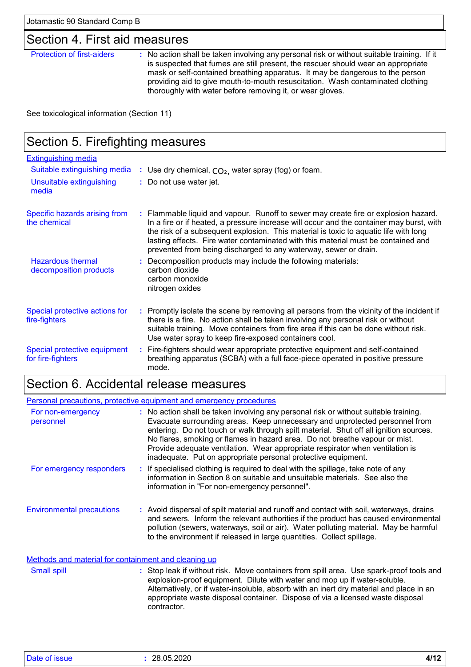### Section 4. First aid measures

Protection of first-aiders **:** No action shall be taken involving any personal risk or without suitable training. If it is suspected that fumes are still present, the rescuer should wear an appropriate mask or self-contained breathing apparatus. It may be dangerous to the person providing aid to give mouth-to-mouth resuscitation. Wash contaminated clothing thoroughly with water before removing it, or wear gloves.

See toxicological information (Section 11)

### Section 5. Firefighting measures

| <b>Extinguishing media</b>                         |                                                                                                                                                                                                                                                                                                                                                                                                                                  |
|----------------------------------------------------|----------------------------------------------------------------------------------------------------------------------------------------------------------------------------------------------------------------------------------------------------------------------------------------------------------------------------------------------------------------------------------------------------------------------------------|
| Suitable extinguishing media                       | : Use dry chemical, $CO2$ , water spray (fog) or foam.                                                                                                                                                                                                                                                                                                                                                                           |
| Unsuitable extinguishing<br>media                  | : Do not use water jet.                                                                                                                                                                                                                                                                                                                                                                                                          |
| Specific hazards arising from<br>the chemical      | : Flammable liquid and vapour. Runoff to sewer may create fire or explosion hazard.<br>In a fire or if heated, a pressure increase will occur and the container may burst, with<br>the risk of a subsequent explosion. This material is toxic to aquatic life with long<br>lasting effects. Fire water contaminated with this material must be contained and<br>prevented from being discharged to any waterway, sewer or drain. |
| <b>Hazardous thermal</b><br>decomposition products | : Decomposition products may include the following materials:<br>carbon dioxide<br>carbon monoxide<br>nitrogen oxides                                                                                                                                                                                                                                                                                                            |
| Special protective actions for<br>fire-fighters    | : Promptly isolate the scene by removing all persons from the vicinity of the incident if<br>there is a fire. No action shall be taken involving any personal risk or without<br>suitable training. Move containers from fire area if this can be done without risk.<br>Use water spray to keep fire-exposed containers cool.                                                                                                    |
| Special protective equipment<br>for fire-fighters  | : Fire-fighters should wear appropriate protective equipment and self-contained<br>breathing apparatus (SCBA) with a full face-piece operated in positive pressure<br>mode.                                                                                                                                                                                                                                                      |

### Section 6. Accidental release measures

|                                                      | Personal precautions, protective equipment and emergency procedures                                                                                                                                                                                                                                                                                                                                                                                                                           |
|------------------------------------------------------|-----------------------------------------------------------------------------------------------------------------------------------------------------------------------------------------------------------------------------------------------------------------------------------------------------------------------------------------------------------------------------------------------------------------------------------------------------------------------------------------------|
| For non-emergency<br>personnel                       | : No action shall be taken involving any personal risk or without suitable training.<br>Evacuate surrounding areas. Keep unnecessary and unprotected personnel from<br>entering. Do not touch or walk through spilt material. Shut off all ignition sources.<br>No flares, smoking or flames in hazard area. Do not breathe vapour or mist.<br>Provide adequate ventilation. Wear appropriate respirator when ventilation is<br>inadequate. Put on appropriate personal protective equipment. |
| For emergency responders                             | : If specialised clothing is required to deal with the spillage, take note of any<br>information in Section 8 on suitable and unsuitable materials. See also the<br>information in "For non-emergency personnel".                                                                                                                                                                                                                                                                             |
| <b>Environmental precautions</b>                     | : Avoid dispersal of spilt material and runoff and contact with soil, waterways, drains<br>and sewers. Inform the relevant authorities if the product has caused environmental<br>pollution (sewers, waterways, soil or air). Water polluting material. May be harmful<br>to the environment if released in large quantities. Collect spillage.                                                                                                                                               |
| Methods and material for containment and cleaning up |                                                                                                                                                                                                                                                                                                                                                                                                                                                                                               |
| Small enill                                          | . Stop leak if without risk Move containers from spill area. Hse spark-proof tools and                                                                                                                                                                                                                                                                                                                                                                                                        |

Stop leak if without risk. Move containers from spill area. Use spark-proof tools and explosion-proof equipment. Dilute with water and mop up if water-soluble. Alternatively, or if water-insoluble, absorb with an inert dry material and place in an appropriate waste disposal container. Dispose of via a licensed waste disposal contractor. Small spill **:**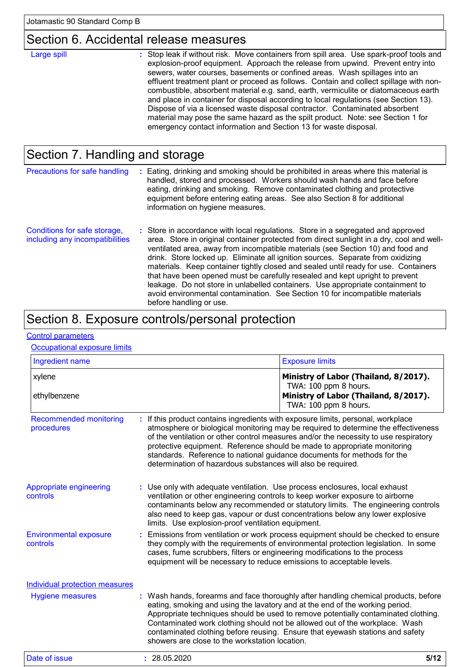### Section 6. Accidental release measures

| Large spill | : Stop leak if without risk. Move containers from spill area. Use spark-proof tools and<br>explosion-proof equipment. Approach the release from upwind. Prevent entry into<br>sewers, water courses, basements or confined areas. Wash spillages into an<br>effluent treatment plant or proceed as follows. Contain and collect spillage with non-<br>combustible, absorbent material e.g. sand, earth, vermiculite or diatomaceous earth<br>and place in container for disposal according to local regulations (see Section 13).<br>Dispose of via a licensed waste disposal contractor. Contaminated absorbent<br>material may pose the same hazard as the spilt product. Note: see Section 1 for<br>emergency contact information and Section 13 for waste disposal. |
|-------------|-------------------------------------------------------------------------------------------------------------------------------------------------------------------------------------------------------------------------------------------------------------------------------------------------------------------------------------------------------------------------------------------------------------------------------------------------------------------------------------------------------------------------------------------------------------------------------------------------------------------------------------------------------------------------------------------------------------------------------------------------------------------------|
|-------------|-------------------------------------------------------------------------------------------------------------------------------------------------------------------------------------------------------------------------------------------------------------------------------------------------------------------------------------------------------------------------------------------------------------------------------------------------------------------------------------------------------------------------------------------------------------------------------------------------------------------------------------------------------------------------------------------------------------------------------------------------------------------------|

# Section 7. Handling and storage

| Precautions for safe handling                                   | Eating, drinking and smoking should be prohibited in areas where this material is<br>handled, stored and processed. Workers should wash hands and face before<br>eating, drinking and smoking. Remove contaminated clothing and protective<br>equipment before entering eating areas. See also Section 8 for additional<br>information on hygiene measures.                                                                                                                                                                                                                                                                                                                                                             |
|-----------------------------------------------------------------|-------------------------------------------------------------------------------------------------------------------------------------------------------------------------------------------------------------------------------------------------------------------------------------------------------------------------------------------------------------------------------------------------------------------------------------------------------------------------------------------------------------------------------------------------------------------------------------------------------------------------------------------------------------------------------------------------------------------------|
| Conditions for safe storage,<br>including any incompatibilities | : Store in accordance with local regulations. Store in a segregated and approved<br>area. Store in original container protected from direct sunlight in a dry, cool and well-<br>ventilated area, away from incompatible materials (see Section 10) and food and<br>drink. Store locked up. Eliminate all ignition sources. Separate from oxidizing<br>materials. Keep container tightly closed and sealed until ready for use. Containers<br>that have been opened must be carefully resealed and kept upright to prevent<br>leakage. Do not store in unlabelled containers. Use appropriate containment to<br>avoid environmental contamination. See Section 10 for incompatible materials<br>before handling or use. |

### Section 8. Exposure controls/personal protection

#### Control parameters

#### **Occupational exposure limits**

| Ingredient name                             |                                                                                                                                                                                                                                                                                                                                                                                                                                                                                       | <b>Exposure limits</b>                                                                                                                                                                                                                                                                                                                                                                                                    |  |  |
|---------------------------------------------|---------------------------------------------------------------------------------------------------------------------------------------------------------------------------------------------------------------------------------------------------------------------------------------------------------------------------------------------------------------------------------------------------------------------------------------------------------------------------------------|---------------------------------------------------------------------------------------------------------------------------------------------------------------------------------------------------------------------------------------------------------------------------------------------------------------------------------------------------------------------------------------------------------------------------|--|--|
| xylene<br>ethylbenzene                      |                                                                                                                                                                                                                                                                                                                                                                                                                                                                                       | Ministry of Labor (Thailand, 8/2017).<br>TWA: 100 ppm 8 hours.<br>Ministry of Labor (Thailand, 8/2017).<br>TWA: 100 ppm 8 hours.                                                                                                                                                                                                                                                                                          |  |  |
| <b>Recommended monitoring</b><br>procedures | : If this product contains ingredients with exposure limits, personal, workplace<br>atmosphere or biological monitoring may be required to determine the effectiveness<br>of the ventilation or other control measures and/or the necessity to use respiratory<br>protective equipment. Reference should be made to appropriate monitoring<br>standards. Reference to national guidance documents for methods for the<br>determination of hazardous substances will also be required. |                                                                                                                                                                                                                                                                                                                                                                                                                           |  |  |
| Appropriate engineering<br>controls         |                                                                                                                                                                                                                                                                                                                                                                                                                                                                                       | : Use only with adequate ventilation. Use process enclosures, local exhaust<br>ventilation or other engineering controls to keep worker exposure to airborne<br>contaminants below any recommended or statutory limits. The engineering controls<br>also need to keep gas, vapour or dust concentrations below any lower explosive<br>limits. Use explosion-proof ventilation equipment.                                  |  |  |
| <b>Environmental exposure</b><br>controls   | Emissions from ventilation or work process equipment should be checked to ensure<br>they comply with the requirements of environmental protection legislation. In some<br>cases, fume scrubbers, filters or engineering modifications to the process<br>equipment will be necessary to reduce emissions to acceptable levels.                                                                                                                                                         |                                                                                                                                                                                                                                                                                                                                                                                                                           |  |  |
| <b>Individual protection measures</b>       |                                                                                                                                                                                                                                                                                                                                                                                                                                                                                       |                                                                                                                                                                                                                                                                                                                                                                                                                           |  |  |
| <b>Hygiene measures</b>                     | showers are close to the workstation location.                                                                                                                                                                                                                                                                                                                                                                                                                                        | : Wash hands, forearms and face thoroughly after handling chemical products, before<br>eating, smoking and using the lavatory and at the end of the working period.<br>Appropriate techniques should be used to remove potentially contaminated clothing.<br>Contaminated work clothing should not be allowed out of the workplace. Wash<br>contaminated clothing before reusing. Ensure that eyewash stations and safety |  |  |

| $R = 1$<br><b>ISSUE</b><br>-Dalt<br>- | 20 DE 2020<br>ZO.UJ.ZUZU | 5/12 |
|---------------------------------------|--------------------------|------|
|---------------------------------------|--------------------------|------|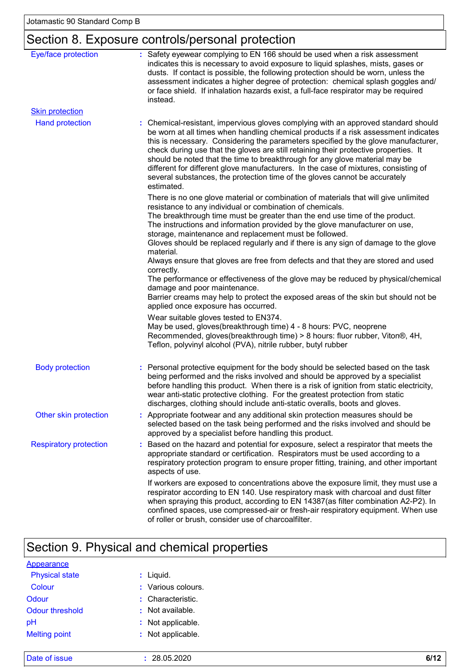# Section 8. Exposure controls/personal protection

| Eye/face protection           | : Safety eyewear complying to EN 166 should be used when a risk assessment<br>indicates this is necessary to avoid exposure to liquid splashes, mists, gases or<br>dusts. If contact is possible, the following protection should be worn, unless the<br>assessment indicates a higher degree of protection: chemical splash goggles and/<br>or face shield. If inhalation hazards exist, a full-face respirator may be required<br>instead.                                                                                                                                                                              |
|-------------------------------|---------------------------------------------------------------------------------------------------------------------------------------------------------------------------------------------------------------------------------------------------------------------------------------------------------------------------------------------------------------------------------------------------------------------------------------------------------------------------------------------------------------------------------------------------------------------------------------------------------------------------|
| <b>Skin protection</b>        |                                                                                                                                                                                                                                                                                                                                                                                                                                                                                                                                                                                                                           |
| <b>Hand protection</b>        | : Chemical-resistant, impervious gloves complying with an approved standard should<br>be worn at all times when handling chemical products if a risk assessment indicates<br>this is necessary. Considering the parameters specified by the glove manufacturer,<br>check during use that the gloves are still retaining their protective properties. It<br>should be noted that the time to breakthrough for any glove material may be<br>different for different glove manufacturers. In the case of mixtures, consisting of<br>several substances, the protection time of the gloves cannot be accurately<br>estimated. |
|                               | There is no one glove material or combination of materials that will give unlimited<br>resistance to any individual or combination of chemicals.<br>The breakthrough time must be greater than the end use time of the product.<br>The instructions and information provided by the glove manufacturer on use,<br>storage, maintenance and replacement must be followed.                                                                                                                                                                                                                                                  |
|                               | Gloves should be replaced regularly and if there is any sign of damage to the glove<br>material.<br>Always ensure that gloves are free from defects and that they are stored and used                                                                                                                                                                                                                                                                                                                                                                                                                                     |
|                               | correctly.<br>The performance or effectiveness of the glove may be reduced by physical/chemical<br>damage and poor maintenance.                                                                                                                                                                                                                                                                                                                                                                                                                                                                                           |
|                               | Barrier creams may help to protect the exposed areas of the skin but should not be<br>applied once exposure has occurred.                                                                                                                                                                                                                                                                                                                                                                                                                                                                                                 |
|                               | Wear suitable gloves tested to EN374.<br>May be used, gloves(breakthrough time) 4 - 8 hours: PVC, neoprene<br>Recommended, gloves(breakthrough time) > 8 hours: fluor rubber, Viton®, 4H,<br>Teflon, polyvinyl alcohol (PVA), nitrile rubber, butyl rubber                                                                                                                                                                                                                                                                                                                                                                |
| <b>Body protection</b>        | : Personal protective equipment for the body should be selected based on the task<br>being performed and the risks involved and should be approved by a specialist<br>before handling this product. When there is a risk of ignition from static electricity,<br>wear anti-static protective clothing. For the greatest protection from static<br>discharges, clothing should include anti-static overalls, boots and gloves.                                                                                                                                                                                             |
| Other skin protection         | : Appropriate footwear and any additional skin protection measures should be<br>selected based on the task being performed and the risks involved and should be<br>approved by a specialist before handling this product.                                                                                                                                                                                                                                                                                                                                                                                                 |
| <b>Respiratory protection</b> | Based on the hazard and potential for exposure, select a respirator that meets the<br>appropriate standard or certification. Respirators must be used according to a<br>respiratory protection program to ensure proper fitting, training, and other important<br>aspects of use.                                                                                                                                                                                                                                                                                                                                         |
|                               | If workers are exposed to concentrations above the exposure limit, they must use a<br>respirator according to EN 140. Use respiratory mask with charcoal and dust filter<br>when spraying this product, according to EN 14387(as filter combination A2-P2). In<br>confined spaces, use compressed-air or fresh-air respiratory equipment. When use<br>of roller or brush, consider use of charcoalfilter.                                                                                                                                                                                                                 |

# Section 9. Physical and chemical properties

| <b>Appearance</b>     |                    |      |
|-----------------------|--------------------|------|
| <b>Physical state</b> | : Liquid.          |      |
| Colour                | : Various colours. |      |
| Odour                 | : Characteristic.  |      |
| Odour threshold       | : Not available.   |      |
| pH                    | : Not applicable.  |      |
| <b>Melting point</b>  | : Not applicable.  |      |
| Date of issue         | 28.05.2020         | 6/12 |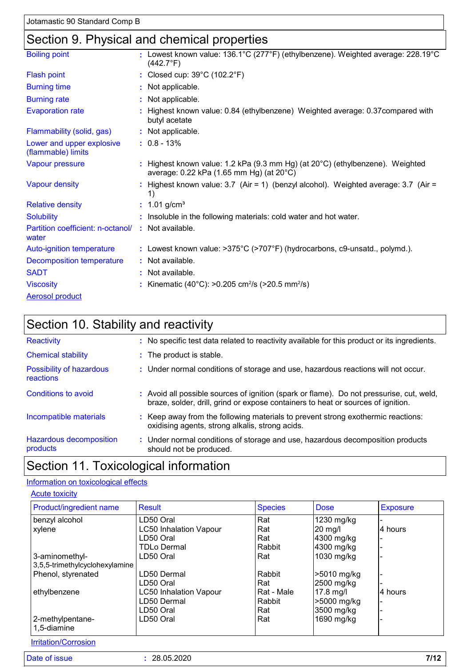### Section 9. Physical and chemical properties

| <b>Boiling point</b>                            | : Lowest known value: 136.1°C (277°F) (ethylbenzene). Weighted average: 228.19°C<br>$(442.7^{\circ}F)$                              |
|-------------------------------------------------|-------------------------------------------------------------------------------------------------------------------------------------|
| <b>Flash point</b>                              | : Closed cup: $39^{\circ}$ C (102.2 $^{\circ}$ F)                                                                                   |
| <b>Burning time</b>                             | : Not applicable.                                                                                                                   |
| <b>Burning rate</b>                             | : Not applicable.                                                                                                                   |
| <b>Evaporation rate</b>                         | : Highest known value: 0.84 (ethylbenzene) Weighted average: 0.37 compared with<br>butyl acetate                                    |
| Flammability (solid, gas)                       | : Not applicable.                                                                                                                   |
| Lower and upper explosive<br>(flammable) limits | $: 0.8 - 13\%$                                                                                                                      |
| Vapour pressure                                 | : Highest known value: 1.2 kPa (9.3 mm Hg) (at $20^{\circ}$ C) (ethylbenzene). Weighted<br>average: 0.22 kPa (1.65 mm Hg) (at 20°C) |
| <b>Vapour density</b>                           | : Highest known value: $3.7$ (Air = 1) (benzyl alcohol). Weighted average: $3.7$ (Air =<br>1)                                       |
| <b>Relative density</b>                         | : $1.01$ g/cm <sup>3</sup>                                                                                                          |
| <b>Solubility</b>                               | : Insoluble in the following materials: cold water and hot water.                                                                   |
| Partition coefficient: n-octanol/<br>water      | : Not available.                                                                                                                    |
| Auto-ignition temperature                       | : Lowest known value: >375°C (>707°F) (hydrocarbons, c9-unsatd., polymd.).                                                          |
| <b>Decomposition temperature</b>                | : Not available.                                                                                                                    |
| <b>SADT</b>                                     | : Not available.                                                                                                                    |
| <b>Viscosity</b>                                | : Kinematic (40°C): >0.205 cm <sup>2</sup> /s (>20.5 mm <sup>2</sup> /s)                                                            |
| <b>Aerosol product</b>                          |                                                                                                                                     |
|                                                 |                                                                                                                                     |

# Section 10. Stability and reactivity

| Reactivity                            | : No specific test data related to reactivity available for this product or its ingredients.                                                                                 |
|---------------------------------------|------------------------------------------------------------------------------------------------------------------------------------------------------------------------------|
| <b>Chemical stability</b>             | : The product is stable.                                                                                                                                                     |
| Possibility of hazardous<br>reactions | : Under normal conditions of storage and use, hazardous reactions will not occur.                                                                                            |
| Conditions to avoid                   | : Avoid all possible sources of ignition (spark or flame). Do not pressurise, cut, weld,<br>braze, solder, drill, grind or expose containers to heat or sources of ignition. |
| Incompatible materials                | : Keep away from the following materials to prevent strong exothermic reactions:<br>oxidising agents, strong alkalis, strong acids.                                          |
| Hazardous decomposition<br>products   | : Under normal conditions of storage and use, hazardous decomposition products<br>should not be produced.                                                                    |

### Section 11. Toxicological information

#### Information on toxicological effects

#### **Acute toxicity**

| Product/ingredient name        | <b>Result</b>                 | <b>Species</b> | <b>Dose</b> | <b>Exposure</b> |
|--------------------------------|-------------------------------|----------------|-------------|-----------------|
| benzyl alcohol                 | LD50 Oral                     | Rat            | 1230 mg/kg  |                 |
| xylene                         | <b>LC50 Inhalation Vapour</b> | Rat            | 20 mg/l     | 4 hours         |
|                                | LD50 Oral                     | Rat            | 4300 mg/kg  |                 |
|                                | <b>TDLo Dermal</b>            | Rabbit         | 4300 mg/kg  |                 |
| 3-aminomethyl-                 | LD50 Oral                     | Rat            | 1030 mg/kg  |                 |
| 3,5,5-trimethylcyclohexylamine |                               |                |             |                 |
| Phenol, styrenated             | LD50 Dermal                   | Rabbit         | >5010 mg/kg |                 |
|                                | LD50 Oral                     | Rat            | 2500 mg/kg  |                 |
| ethylbenzene                   | <b>LC50 Inhalation Vapour</b> | Rat - Male     | $17.8$ mg/l | 4 hours         |
|                                | LD50 Dermal                   | Rabbit         | >5000 mg/kg |                 |
|                                | LD50 Oral                     | Rat            | 3500 mg/kg  |                 |
| 2-methylpentane-               | LD50 Oral                     | Rat            | 1690 mg/kg  |                 |
| 1,5-diamine                    |                               |                |             |                 |

**Irritation/Corrosion** 

Date of issue **:** 28.05.2020 **7/12**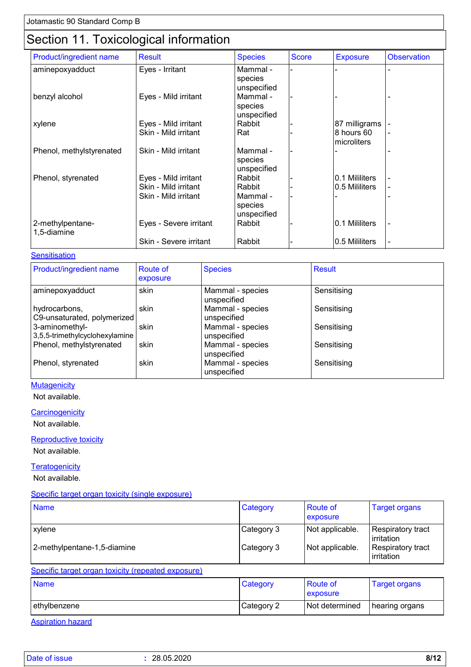# Section 11. Toxicological information

| Product/ingredient name         | <b>Result</b>                                                        | <b>Species</b>                                         | <b>Score</b> | <b>Exposure</b>                            | <b>Observation</b>       |
|---------------------------------|----------------------------------------------------------------------|--------------------------------------------------------|--------------|--------------------------------------------|--------------------------|
| aminepoxyadduct                 | Eyes - Irritant                                                      | Mammal -<br>species<br>unspecified                     |              |                                            |                          |
| benzyl alcohol                  | Eyes - Mild irritant                                                 | Mammal -<br>species<br>unspecified                     |              |                                            |                          |
| xylene                          | Eyes - Mild irritant<br>Skin - Mild irritant                         | Rabbit<br>Rat                                          |              | 87 milligrams<br>8 hours 60<br>microliters |                          |
| Phenol, methylstyrenated        | Skin - Mild irritant                                                 | Mammal -<br>species<br>unspecified                     |              |                                            |                          |
| Phenol, styrenated              | Eyes - Mild irritant<br>Skin - Mild irritant<br>Skin - Mild irritant | Rabbit<br>Rabbit<br>Mammal -<br>species<br>unspecified |              | 0.1 Mililiters<br>0.5 Mililiters           | $\blacksquare$           |
| 2-methylpentane-<br>1,5-diamine | Eyes - Severe irritant                                               | Rabbit                                                 |              | 0.1 Mililiters                             | $\overline{\phantom{a}}$ |
|                                 | Skin - Severe irritant                                               | Rabbit                                                 |              | 0.5 Mililiters                             | $\overline{\phantom{a}}$ |

#### **Sensitisation**

| <b>Product/ingredient name</b>                   | <b>Route of</b><br>exposure | <b>Species</b>                  | <b>Result</b> |
|--------------------------------------------------|-----------------------------|---------------------------------|---------------|
| aminepoxyadduct                                  | skin                        | Mammal - species<br>unspecified | Sensitising   |
| hydrocarbons,<br>C9-unsaturated, polymerized     | skin                        | Mammal - species<br>unspecified | Sensitising   |
| 3-aminomethyl-<br>3,5,5-trimethylcyclohexylamine | skin                        | Mammal - species<br>unspecified | Sensitising   |
| Phenol, methylstyrenated                         | skin                        | Mammal - species<br>unspecified | Sensitising   |
| Phenol, styrenated                               | skin                        | Mammal - species<br>unspecified | Sensitising   |

#### **Mutagenicity**

Not available.

#### **Carcinogenicity**

Not available.

#### Reproductive toxicity

Not available.

#### **Teratogenicity**

Not available.

#### Specific target organ toxicity (single exposure)

| <b>Name</b>                                        | Category   | Route of<br>exposure | Target organs                          |  |  |
|----------------------------------------------------|------------|----------------------|----------------------------------------|--|--|
| <b>xylene</b>                                      | Category 3 | Not applicable.      | Respiratory tract<br>irritation        |  |  |
| 2-methylpentane-1,5-diamine                        | Category 3 | Not applicable.      | <b>Respiratory tract</b><br>irritation |  |  |
| Specific target organ toxicity (repeated exposure) |            |                      |                                        |  |  |

#### <u>Specific target organ toxicity (repeated exposure)</u>

| <b>Name</b>  | Category   | <b>Route of</b><br><b>exposure</b> | <b>Target organs</b> |
|--------------|------------|------------------------------------|----------------------|
| ethylbenzene | Category 2 | Not determined                     | hearing organs       |

Aspiration hazard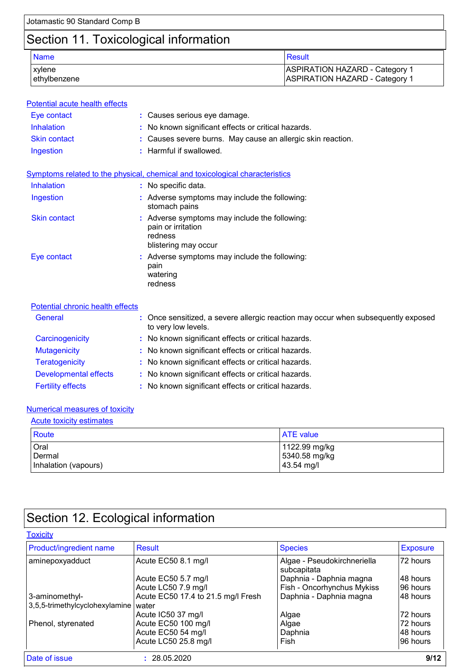# Section 11. Toxicological information

| <b>Name</b>  | Result                                |
|--------------|---------------------------------------|
| xvlene       | <b>ASPIRATION HAZARD - Category 1</b> |
| ethylbenzene | <b>ASPIRATION HAZARD - Category 1</b> |

| Potential acute health effects       |                                                                                                                                                             |
|--------------------------------------|-------------------------------------------------------------------------------------------------------------------------------------------------------------|
| Eye contact                          | : Causes serious eye damage.                                                                                                                                |
| <b>Inhalation</b>                    | : No known significant effects or critical hazards.                                                                                                         |
| <b>Skin contact</b>                  | : Causes severe burns. May cause an allergic skin reaction.                                                                                                 |
| Ingestion                            | : Harmful if swallowed.                                                                                                                                     |
|                                      | Symptoms related to the physical, chemical and toxicological characteristics                                                                                |
| <b>Inhalation</b>                    | : No specific data.                                                                                                                                         |
| Ingestion                            | : Adverse symptoms may include the following:<br>stomach pains                                                                                              |
| <b>Skin contact</b>                  | : Adverse symptoms may include the following:<br>pain or irritation<br>redness<br>blistering may occur                                                      |
| Eye contact                          | : Adverse symptoms may include the following:<br>pain<br>watering<br>redness                                                                                |
| Potential chronic health effects     |                                                                                                                                                             |
| General                              | : Once sensitized, a severe allergic reaction may occur when subsequently exposed<br>to very low levels.                                                    |
| Carcinogenicity                      | : No known significant effects or critical hazards.                                                                                                         |
| <b>A Albert Construction Manager</b> | <b>A</b> Let $\mathbf{I}$ be a second of the state $\mathbf{f}$ and $\mathbf{f}$ and $\mathbf{f}$ and $\mathbf{f}$ are second to the second of $\mathbf{f}$ |

| Mutagenicity             | : No known significant effects or critical hazards. |
|--------------------------|-----------------------------------------------------|
| <b>Teratogenicity</b>    | : No known significant effects or critical hazards. |
| Developmental effects    | : No known significant effects or critical hazards. |
| <b>Fertility effects</b> | : No known significant effects or critical hazards. |

#### Numerical measures of toxicity

| Acute toxicity estimates |
|--------------------------|
|--------------------------|

| Route                | <b>ATE</b> value |
|----------------------|------------------|
| Oral                 | 1122.99 mg/kg    |
| Dermal               | 5340.58 mg/kg    |
| Inhalation (vapours) | 43.54 mg/l       |

# Section 12. Ecological information

#### **Toxicity**

| <b>Product/ingredient name</b> | <b>Result</b>                      | <b>Species</b>                             | <b>Exposure</b> |
|--------------------------------|------------------------------------|--------------------------------------------|-----------------|
| aminepoxyadduct                | Acute EC50 8.1 mg/l                | Algae - Pseudokirchneriella<br>subcapitata | 72 hours        |
|                                | Acute EC50 5.7 mg/l                | Daphnia - Daphnia magna                    | 48 hours        |
|                                | Acute LC50 7.9 mg/l                | Fish - Oncorhynchus Mykiss                 | 96 hours        |
| 3-aminomethyl-                 | Acute EC50 17.4 to 21.5 mg/l Fresh | Daphnia - Daphnia magna                    | I48 hours       |
| 3,5,5-trimethylcyclohexylamine | water                              |                                            |                 |
|                                | Acute IC50 37 mg/l                 | Algae                                      | 72 hours        |
| Phenol, styrenated             | Acute EC50 100 mg/l                | Algae                                      | 72 hours        |
|                                | Acute EC50 54 mg/l                 | Daphnia                                    | I48 hours       |
|                                | Acute LC50 25.8 mg/l               | Fish                                       | 96 hours        |
| Date of issue                  | : 28.05.2020                       |                                            | 9/12            |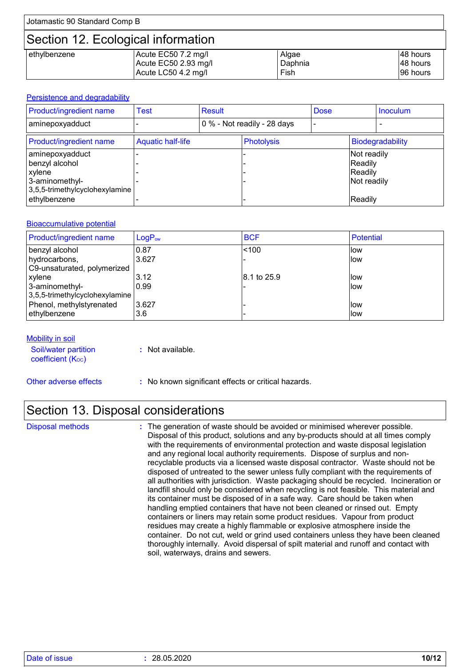| Jotamastic 90 Standard Comp B      |                                             |                 |                      |  |
|------------------------------------|---------------------------------------------|-----------------|----------------------|--|
| Section 12. Ecological information |                                             |                 |                      |  |
| ethylbenzene                       | Acute EC50 7.2 mg/l                         | Algae           | 148 hours            |  |
|                                    | Acute EC50 2.93 mg/l<br>Acute LC50 4.2 mg/l | Daphnia<br>Fish | 48 hours<br>96 hours |  |

#### **Persistence and degradability**

| <b>Product/ingredient name</b>                                                                    | <b>Test</b>              | <b>Result</b> |                             | <b>Dose</b> |                                                  | <b>Inoculum</b>         |
|---------------------------------------------------------------------------------------------------|--------------------------|---------------|-----------------------------|-------------|--------------------------------------------------|-------------------------|
| aminepoxyadduct                                                                                   |                          |               | 0 % - Not readily - 28 days |             |                                                  |                         |
| <b>Product/ingredient name</b>                                                                    | <b>Aquatic half-life</b> |               | <b>Photolysis</b>           |             |                                                  | <b>Biodegradability</b> |
| aminepoxyadduct<br>benzyl alcohol<br>  xylene<br>3-aminomethyl-<br>3,5,5-trimethylcyclohexylamine |                          |               |                             |             | Not readily<br>Readily<br>Readily<br>Not readily |                         |
| ethylbenzene                                                                                      |                          |               |                             |             | Readily                                          |                         |

#### Bioaccumulative potential

| Product/ingredient name        | $LogP_{ow}$ | <b>BCF</b>  | Potential |
|--------------------------------|-------------|-------------|-----------|
| benzyl alcohol                 | 0.87        | < 100       | llow      |
| hydrocarbons,                  | 3.627       |             | llow      |
| C9-unsaturated, polymerized    |             |             |           |
| xylene                         | 3.12        | 8.1 to 25.9 | llow      |
| 3-aminomethyl-                 | 0.99        |             | llow      |
| 3,5,5-trimethylcyclohexylamine |             |             |           |
| Phenol, methylstyrenated       | 3.627       |             | low       |
| ethylbenzene                   | 3.6         |             | llow      |

#### Mobility in soil

Soil/water partition  $coefficient (K<sub>oc</sub>)$ 

**:** Not available.

Other adverse effects **:** No known significant effects or critical hazards.

### Section 13. Disposal considerations

Disposal methods **:**

The generation of waste should be avoided or minimised wherever possible. Disposal of this product, solutions and any by-products should at all times comply with the requirements of environmental protection and waste disposal legislation and any regional local authority requirements. Dispose of surplus and nonrecyclable products via a licensed waste disposal contractor. Waste should not be disposed of untreated to the sewer unless fully compliant with the requirements of all authorities with jurisdiction. Waste packaging should be recycled. Incineration or landfill should only be considered when recycling is not feasible. This material and its container must be disposed of in a safe way. Care should be taken when handling emptied containers that have not been cleaned or rinsed out. Empty containers or liners may retain some product residues. Vapour from product residues may create a highly flammable or explosive atmosphere inside the container. Do not cut, weld or grind used containers unless they have been cleaned thoroughly internally. Avoid dispersal of spilt material and runoff and contact with soil, waterways, drains and sewers.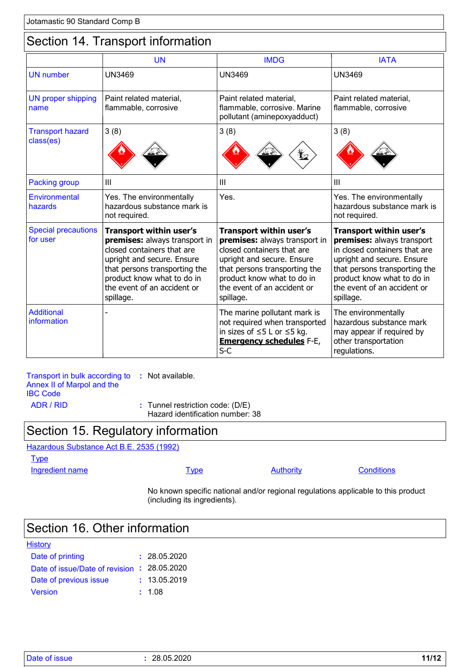### Section 14. Transport information

|                                        | <b>UN</b>                                                                                                                                                                                                                              | <b>IMDG</b>                                                                                                                                                                                                                            | <b>IATA</b>                                                                                                                                                                                                                     |
|----------------------------------------|----------------------------------------------------------------------------------------------------------------------------------------------------------------------------------------------------------------------------------------|----------------------------------------------------------------------------------------------------------------------------------------------------------------------------------------------------------------------------------------|---------------------------------------------------------------------------------------------------------------------------------------------------------------------------------------------------------------------------------|
| <b>UN</b> number                       | <b>UN3469</b>                                                                                                                                                                                                                          | <b>UN3469</b>                                                                                                                                                                                                                          | <b>UN3469</b>                                                                                                                                                                                                                   |
| <b>UN proper shipping</b><br>name      | Paint related material,<br>flammable, corrosive                                                                                                                                                                                        | Paint related material,<br>flammable, corrosive. Marine<br>pollutant (aminepoxyadduct)                                                                                                                                                 | Paint related material,<br>flammable, corrosive                                                                                                                                                                                 |
| <b>Transport hazard</b><br>class(es)   | 3(8)                                                                                                                                                                                                                                   | 3(8)<br>⋭2                                                                                                                                                                                                                             | 3(8)                                                                                                                                                                                                                            |
| <b>Packing group</b>                   | Ш                                                                                                                                                                                                                                      | III                                                                                                                                                                                                                                    | III                                                                                                                                                                                                                             |
| Environmental<br>hazards               | Yes. The environmentally<br>hazardous substance mark is<br>not required.                                                                                                                                                               | Yes.                                                                                                                                                                                                                                   | Yes. The environmentally<br>hazardous substance mark is<br>not required.                                                                                                                                                        |
| <b>Special precautions</b><br>for user | <b>Transport within user's</b><br>premises: always transport in<br>closed containers that are<br>upright and secure. Ensure<br>that persons transporting the<br>product know what to do in<br>the event of an accident or<br>spillage. | <b>Transport within user's</b><br>premises: always transport in<br>closed containers that are<br>upright and secure. Ensure<br>that persons transporting the<br>product know what to do in<br>the event of an accident or<br>spillage. | Transport within user's<br>premises: always transport<br>in closed containers that are<br>upright and secure. Ensure<br>that persons transporting the<br>product know what to do in<br>the event of an accident or<br>spillage. |
| <b>Additional</b><br>information       |                                                                                                                                                                                                                                        | The marine pollutant mark is<br>not required when transported<br>in sizes of $\leq$ 5 L or $\leq$ 5 kg.<br><b>Emergency schedules F-E,</b><br>$S-C$                                                                                    | The environmentally<br>hazardous substance mark<br>may appear if required by<br>other transportation<br>regulations.                                                                                                            |

Transport in bulk according to **:** Not available. Annex II of Marpol and the IBC Code ADR / RID **:** Tunnel restriction code: (D/E)

Hazard identification number: 38

### Section 15. Regulatory information

Hazardous Substance Act B.E. 2535 (1992)

**Type** 

Ingredient name **Type** Type Authority Conditions

No known specific national and/or regional regulations applicable to this product (including its ingredients).

### Section 16. Other information

| <b>History</b>                              |              |
|---------------------------------------------|--------------|
| Date of printing                            | : 28.05.2020 |
| Date of issue/Date of revision : 28.05.2020 |              |
| Date of previous issue                      | : 13.05.2019 |
| <b>Version</b>                              | : 1.08       |
|                                             |              |

| Date of issue |  |
|---------------|--|
|---------------|--|